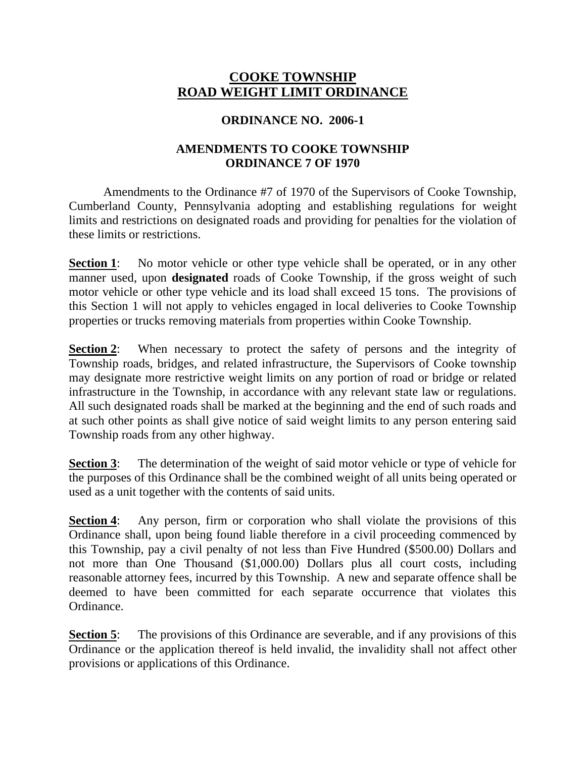# **COOKE TOWNSHIP ROAD WEIGHT LIMIT ORDINANCE**

#### **ORDINANCE NO. 2006-1**

### **AMENDMENTS TO COOKE TOWNSHIP ORDINANCE 7 OF 1970**

Amendments to the Ordinance #7 of 1970 of the Supervisors of Cooke Township, Cumberland County, Pennsylvania adopting and establishing regulations for weight limits and restrictions on designated roads and providing for penalties for the violation of these limits or restrictions.

**Section 1**: No motor vehicle or other type vehicle shall be operated, or in any other manner used, upon **designated** roads of Cooke Township, if the gross weight of such motor vehicle or other type vehicle and its load shall exceed 15 tons. The provisions of this Section 1 will not apply to vehicles engaged in local deliveries to Cooke Township properties or trucks removing materials from properties within Cooke Township.

**Section 2:** When necessary to protect the safety of persons and the integrity of Township roads, bridges, and related infrastructure, the Supervisors of Cooke township may designate more restrictive weight limits on any portion of road or bridge or related infrastructure in the Township, in accordance with any relevant state law or regulations. All such designated roads shall be marked at the beginning and the end of such roads and at such other points as shall give notice of said weight limits to any person entering said Township roads from any other highway.

**Section 3:** The determination of the weight of said motor vehicle or type of vehicle for the purposes of this Ordinance shall be the combined weight of all units being operated or used as a unit together with the contents of said units.

**Section 4:** Any person, firm or corporation who shall violate the provisions of this Ordinance shall, upon being found liable therefore in a civil proceeding commenced by this Township, pay a civil penalty of not less than Five Hundred (\$500.00) Dollars and not more than One Thousand (\$1,000.00) Dollars plus all court costs, including reasonable attorney fees, incurred by this Township. A new and separate offence shall be deemed to have been committed for each separate occurrence that violates this Ordinance.

**Section 5:** The provisions of this Ordinance are severable, and if any provisions of this Ordinance or the application thereof is held invalid, the invalidity shall not affect other provisions or applications of this Ordinance.